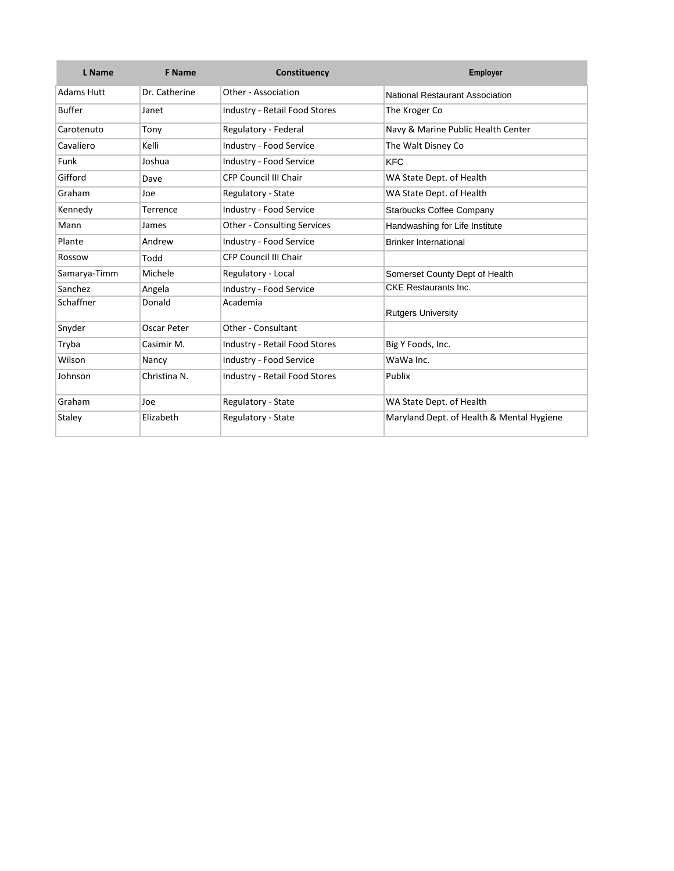| L Name            | <b>F</b> Name | Constituency                         | Employer                                  |  |
|-------------------|---------------|--------------------------------------|-------------------------------------------|--|
| <b>Adams Hutt</b> | Dr. Catherine | Other - Association                  | <b>National Restaurant Association</b>    |  |
| <b>Buffer</b>     | Janet         | <b>Industry - Retail Food Stores</b> | The Kroger Co                             |  |
| Carotenuto        | Tony          | Regulatory - Federal                 | Navy & Marine Public Health Center        |  |
| Cavaliero         | Kelli         | Industry - Food Service              | The Walt Disney Co                        |  |
| Funk              | Joshua        | Industry - Food Service              | <b>KFC</b>                                |  |
| Gifford           | Dave          | <b>CFP Council III Chair</b>         | WA State Dept. of Health                  |  |
| Graham            | Joe           | Regulatory - State                   | WA State Dept. of Health                  |  |
| Kennedy           | Terrence      | <b>Industry - Food Service</b>       | <b>Starbucks Coffee Company</b>           |  |
| Mann              | James         | <b>Other - Consulting Services</b>   | Handwashing for Life Institute            |  |
| Plante            | Andrew        | Industry - Food Service              | <b>Brinker International</b>              |  |
| Rossow            | Todd          | <b>CFP Council III Chair</b>         |                                           |  |
| Samarya-Timm      | Michele       | Regulatory - Local                   | Somerset County Dept of Health            |  |
| Sanchez           | Angela        | Industry - Food Service              | <b>CKE</b> Restaurants Inc.               |  |
| Schaffner         | Donald        | Academia                             | <b>Rutgers University</b>                 |  |
| Snyder            | Oscar Peter   | Other - Consultant                   |                                           |  |
| Tryba             | Casimir M.    | <b>Industry - Retail Food Stores</b> | Big Y Foods, Inc.                         |  |
| Wilson            | Nancy         | Industry - Food Service              | WaWa Inc.                                 |  |
| Johnson           | Christina N.  | <b>Industry - Retail Food Stores</b> | Publix                                    |  |
| Graham            | Joe           | Regulatory - State                   | WA State Dept. of Health                  |  |
| Staley            | Elizabeth     | Regulatory - State                   | Maryland Dept. of Health & Mental Hygiene |  |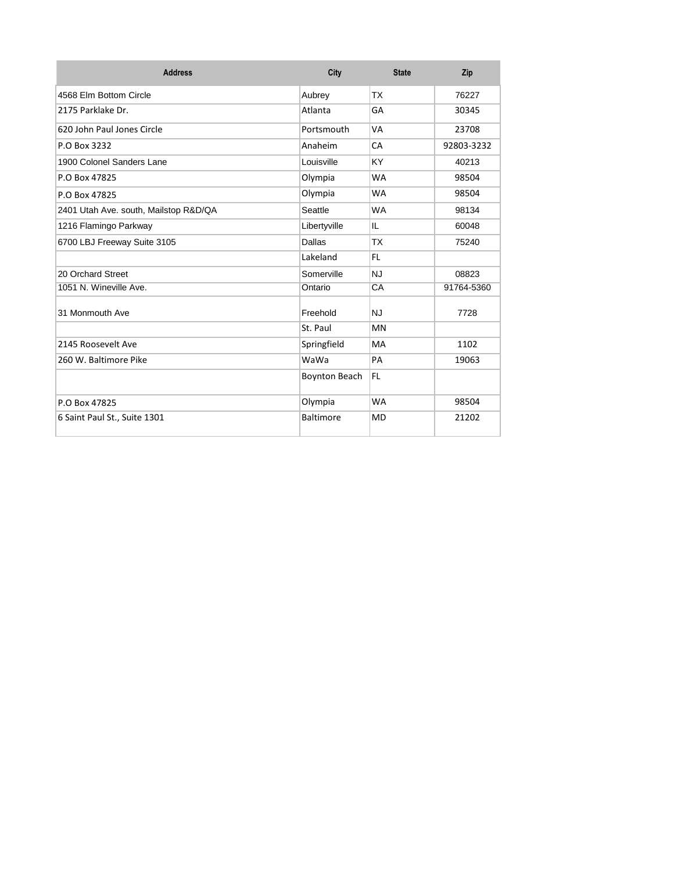| <b>Address</b>                        | City                 | <b>State</b> | Zip        |
|---------------------------------------|----------------------|--------------|------------|
| 4568 Flm Bottom Circle                | Aubrey               | ТX           | 76227      |
| 2175 Parklake Dr.                     | Atlanta              | GA           | 30345      |
| 620 John Paul Jones Circle            | Portsmouth           | VA           | 23708      |
| P.O Box 3232                          | Anaheim              | CA           | 92803-3232 |
| 1900 Colonel Sanders Lane             | Louisville           | KY.          | 40213      |
| P.O Box 47825                         | Olympia              | <b>WA</b>    | 98504      |
| P.O Box 47825                         | Olympia              | <b>WA</b>    | 98504      |
| 2401 Utah Ave. south, Mailstop R&D/QA | Seattle              | <b>WA</b>    | 98134      |
| 1216 Flamingo Parkway                 | Libertyville         | IL           | 60048      |
| 6700 LBJ Freeway Suite 3105           | Dallas               | <b>TX</b>    | 75240      |
|                                       | Lakeland             | FL.          |            |
| 20 Orchard Street                     | Somerville           | <b>NJ</b>    | 08823      |
| 1051 N. Wineville Ave.                | Ontario              | CA           | 91764-5360 |
| 31 Monmouth Ave                       | Freehold             | <b>NJ</b>    | 7728       |
|                                       | St. Paul             | <b>MN</b>    |            |
| 2145 Roosevelt Ave                    | Springfield          | MA           | 1102       |
| 260 W. Baltimore Pike                 | WaWa                 | PA           | 19063      |
|                                       | <b>Boynton Beach</b> | FL           |            |
| P.O Box 47825                         | Olympia              | <b>WA</b>    | 98504      |
| 6 Saint Paul St., Suite 1301          | <b>Baltimore</b>     | <b>MD</b>    | 21202      |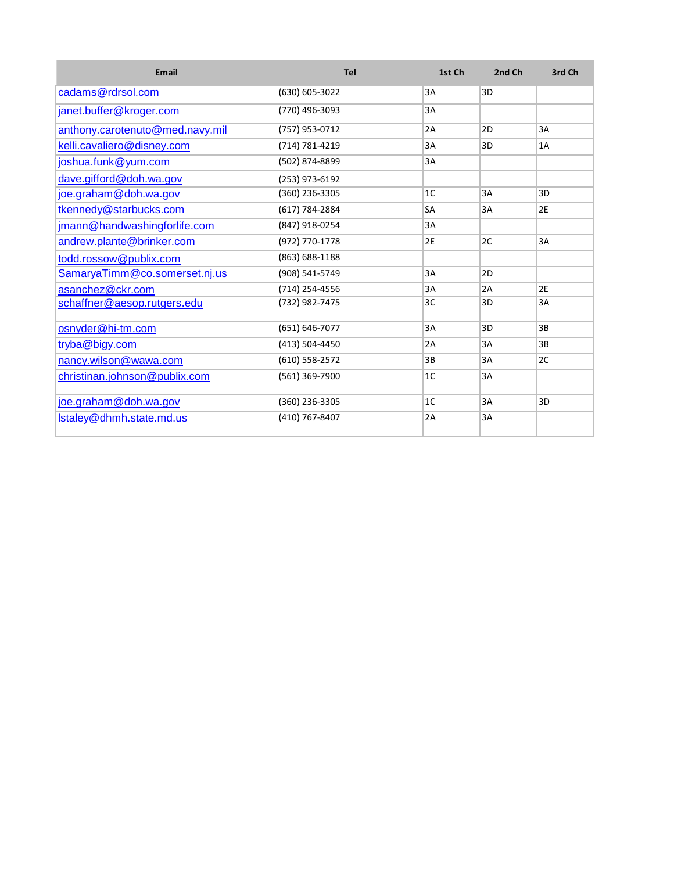| Email                           | Tel            | 1st Ch    | 2nd Ch | 3rd Ch |
|---------------------------------|----------------|-----------|--------|--------|
| cadams@rdrsol.com               | (630) 605-3022 | 3A        | 3D     |        |
| janet.buffer@kroger.com         | (770) 496-3093 | 3A        |        |        |
| anthony.carotenuto@med.navy.mil | (757) 953-0712 | 2A        | 2D     | 3A     |
| kelli.cavaliero@disney.com      | (714) 781-4219 | 3A        | 3D     | 1A     |
| joshua.funk@yum.com             | (502) 874-8899 | 3A        |        |        |
| dave.gifford@doh.wa.gov         | (253) 973-6192 |           |        |        |
| joe.graham@doh.wa.gov           | (360) 236-3305 | 1C        | 3A     | 3D     |
| tkennedy@starbucks.com          | (617) 784-2884 | <b>SA</b> | 3A     | 2E     |
| jmann@handwashingforlife.com    | (847) 918-0254 | 3A        |        |        |
| andrew.plante@brinker.com       | (972) 770-1778 | 2E        | 2C     | 3A     |
| todd.rossow@publix.com          | (863) 688-1188 |           |        |        |
| SamaryaTimm@co.somerset.nj.us   | (908) 541-5749 | 3A        | 2D     |        |
| asanchez@ckr.com                | (714) 254-4556 | 3A        | 2A     | 2E     |
| schaffner@aesop.rutgers.edu     | (732) 982-7475 | 3C        | 3D     | 3A     |
| osnyder@hi-tm.com               | (651) 646-7077 | 3A        | 3D     | 3B     |
| tryba@bigy.com                  | (413) 504-4450 | 2A        | 3A     | 3B     |
| nancy.wilson@wawa.com           | (610) 558-2572 | 3B        | 3A     | 2C     |
| christinan.johnson@publix.com   | (561) 369-7900 | 1C        | 3A     |        |
| joe.graham@doh.wa.gov           | (360) 236-3305 | 1C        | 3A     | 3D     |
| Istaley@dhmh.state.md.us        | (410) 767-8407 | 2A        | 3A     |        |